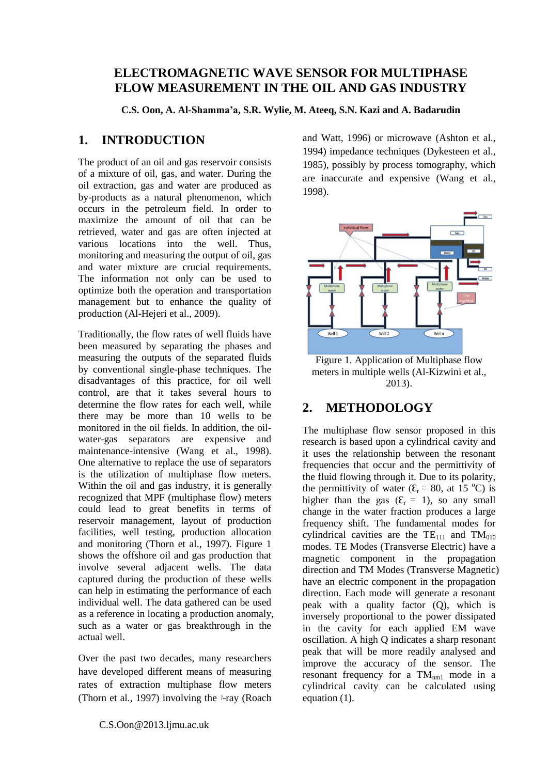## **ELECTROMAGNETIC WAVE SENSOR FOR MULTIPHASE FLOW MEASUREMENT IN THE OIL AND GAS INDUSTRY**

**C.S. Oon, A. Al-Shamma'a, S.R. Wylie, M. Ateeq, S.N. Kazi and A. Badarudin**

## **1. INTRODUCTION**

The product of an oil and gas reservoir consists of a mixture of oil, gas, and water. During the oil extraction, gas and water are produced as by-products as a natural phenomenon, which occurs in the petroleum field. In order to maximize the amount of oil that can be retrieved, water and gas are often injected at various locations into the well. Thus, monitoring and measuring the output of oil, gas and water mixture are crucial requirements. The information not only can be used to optimize both the operation and transportation management but to enhance the quality of production [\(Al-Hejeri](#page-1-0) et al., 2009).

Traditionally, the flow rates of well fluids have been measured by separating the phases and measuring the outputs of the separated fluids by conventional single-phase techniques. The disadvantages of this practice, for oil well control, are that it takes several hours to determine the flow rates for each well, while there may be more than 10 wells to be monitored in the oil fields. In addition, the oilwater-gas separators are expensive and maintenance-intensive [\(Wang et al., 1998\)](#page-1-1). One alternative to replace the use of separators is the utilization of multiphase flow meters. Within the oil and gas industry, it is generally recognized that MPF (multiphase flow) meters could lead to great benefits in terms of reservoir management, layout of production facilities, well testing, production allocation and monitoring [\(Thorn](#page-1-2) et al., 1997). Figure 1 shows the offshore oil and gas production that involve several adjacent wells. The data captured during the production of these wells can help in estimating the performance of each individual well. The data gathered can be used as a reference in locating a production anomaly, such as a water or gas breakthrough in the actual well.

Over the past two decades, many researchers have developed different means of measuring rates of extraction multiphase flow meters [\(Thorn et al., 1997\)](#page-1-2) involving the *ᵞ*-ray [\(Roach](#page-1-3)  [and Watt, 1996\)](#page-1-3) or microwave [\(Ashton et al.,](#page-1-4)  [1994\)](#page-1-4) impedance techniques [\(Dykesteen et al.,](#page-1-5)  [1985\)](#page-1-5), possibly by process tomography, which are inaccurate and expensive [\(Wang et al.,](#page-1-1)  [1998\)](#page-1-1).



Figure 1. Application of Multiphase flow meters in multiple wells [\(Al-Kizwini et al.,](#page-1-6)  [2013\)](#page-1-6).

# **2. METHODOLOGY**

The multiphase flow sensor proposed in this research is based upon a cylindrical cavity and it uses the relationship between the resonant frequencies that occur and the permittivity of the fluid flowing through it. Due to its polarity, the permittivity of water ( $\mathcal{E}_r = 80$ , at 15 °C) is higher than the gas  $(\mathcal{E}_r = 1)$ , so any small change in the water fraction produces a large frequency shift. The fundamental modes for cylindrical cavities are the  $TE_{111}$  and  $TM_{010}$ modes. TE Modes (Transverse Electric) have a magnetic component in the propagation direction and TM Modes (Transverse Magnetic) have an electric component in the propagation direction. Each mode will generate a resonant peak with a quality factor (Q), which is inversely proportional to the power dissipated in the cavity for each applied EM wave oscillation. A high Q indicates a sharp resonant peak that will be more readily analysed and improve the accuracy of the sensor. The resonant frequency for a  $TM_{nm1}$  mode in a cylindrical cavity can be calculated using equation (1).